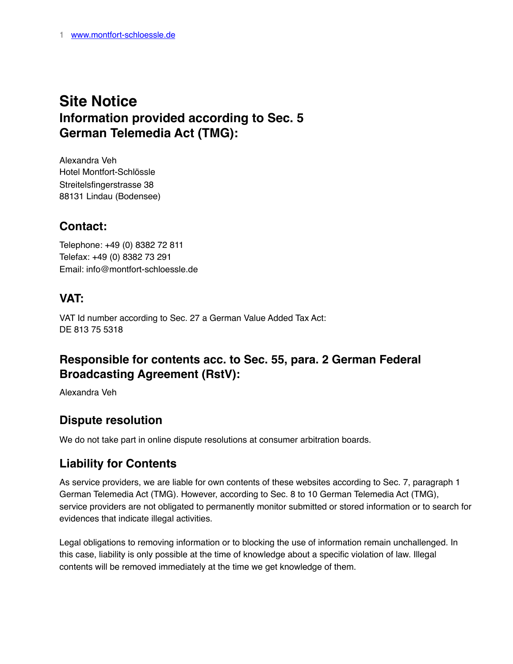# **Site Notice Information provided according to Sec. 5 German Telemedia Act (TMG):**

Alexandra Veh Hotel Montfort-Schlössle Streitelsfingerstrasse 38 88131 Lindau (Bodensee)

## **Contact:**

Telephone: +49 (0) 8382 72 811 Telefax: +49 (0) 8382 73 291 Email: info@montfort-schloessle.de

## **VAT:**

VAT Id number according to Sec. 27 a German Value Added Tax Act: DE 813 75 5318

#### **Responsible for contents acc. to Sec. 55, para. 2 German Federal Broadcasting Agreement (RstV):**

Alexandra Veh

#### **Dispute resolution**

We do not take part in online dispute resolutions at consumer arbitration boards.

#### **Liability for Contents**

As service providers, we are liable for own contents of these websites according to Sec. 7, paragraph 1 German Telemedia Act (TMG). However, according to Sec. 8 to 10 German Telemedia Act (TMG), service providers are not obligated to permanently monitor submitted or stored information or to search for evidences that indicate illegal activities.

Legal obligations to removing information or to blocking the use of information remain unchallenged. In this case, liability is only possible at the time of knowledge about a specific violation of law. Illegal contents will be removed immediately at the time we get knowledge of them.